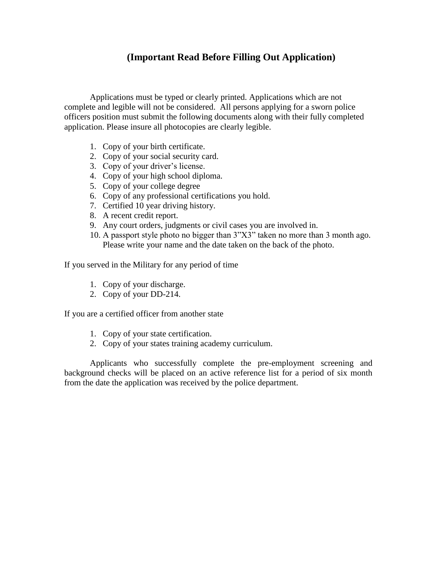### **(Important Read Before Filling Out Application)**

Applications must be typed or clearly printed. Applications which are not complete and legible will not be considered. All persons applying for a sworn police officers position must submit the following documents along with their fully completed application. Please insure all photocopies are clearly legible.

- 1. Copy of your birth certificate.
- 2. Copy of your social security card.
- 3. Copy of your driver's license.
- 4. Copy of your high school diploma.
- 5. Copy of your college degree
- 6. Copy of any professional certifications you hold.
- 7. Certified 10 year driving history.
- 8. A recent credit report.
- 9. Any court orders, judgments or civil cases you are involved in.
- 10. A passport style photo no bigger than 3"X3" taken no more than 3 month ago. Please write your name and the date taken on the back of the photo.

If you served in the Military for any period of time

- 1. Copy of your discharge.
- 2. Copy of your DD-214.

If you are a certified officer from another state

- 1. Copy of your state certification.
- 2. Copy of your states training academy curriculum.

Applicants who successfully complete the pre-employment screening and background checks will be placed on an active reference list for a period of six month from the date the application was received by the police department.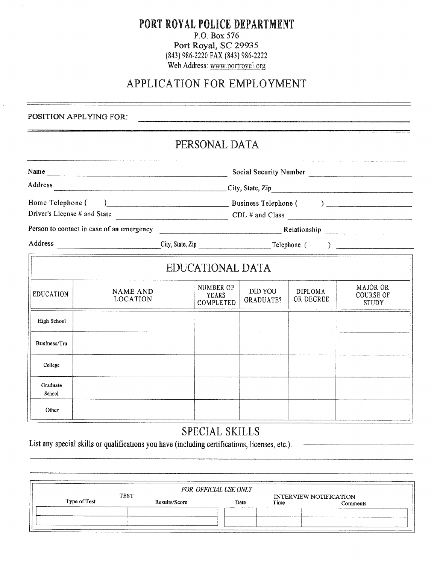#### PORT ROYAL POLICE DEPARTMENT P.O. Box 576 Port Royal, SC 29935 (843) 986-2220 FAX (843) 986-2222 Web Address: www.portroyal.org

# APPLICATION FOR EMPLOYMENT

POSITION APPLYING FOR:

## PERSONAL DATA

|                                                                                                                          |                                    |                                              |                                               |                                    | Social Security Number |                                              |
|--------------------------------------------------------------------------------------------------------------------------|------------------------------------|----------------------------------------------|-----------------------------------------------|------------------------------------|------------------------|----------------------------------------------|
| Address<br>Home Telephone (<br>Driver's License # and State CDL # and Class<br>Person to contact in case of an emergency |                                    |                                              |                                               |                                    |                        |                                              |
|                                                                                                                          |                                    | $\sum$ Business Telephone ( )                |                                               |                                    |                        |                                              |
|                                                                                                                          |                                    | Relationship experience and the Relationship |                                               |                                    |                        |                                              |
|                                                                                                                          |                                    |                                              |                                               |                                    |                        |                                              |
|                                                                                                                          |                                    |                                              | EDUCATIONAL DATA                              |                                    |                        |                                              |
| <b>EDUCATION</b>                                                                                                         | <b>NAME AND</b><br><b>LOCATION</b> |                                              | <b>NUMBER OF</b><br><b>YEARS</b><br>COMPLETED | <b>DID YOU</b><br><b>GRADUATE?</b> | DIPLOMA<br>OR DEGREE   | MAJOR OR<br><b>COURSE OF</b><br><b>STUDY</b> |
| High School                                                                                                              |                                    |                                              |                                               |                                    |                        |                                              |
| Business/Tra                                                                                                             |                                    |                                              |                                               |                                    |                        |                                              |
| College                                                                                                                  |                                    |                                              |                                               |                                    |                        |                                              |
| Graduate<br>School                                                                                                       |                                    |                                              |                                               |                                    |                        |                                              |
| Other                                                                                                                    |                                    |                                              |                                               |                                    |                        |                                              |

# SPECIAL SKILLS

List any special skills or qualifications you have (including certifications, licenses, etc.).

|              |             |               | FOR OFFICIAL USE ONLY                            |      |                               |
|--------------|-------------|---------------|--------------------------------------------------|------|-------------------------------|
|              | <b>TEST</b> |               |                                                  |      | <b>INTERVIEW NOTIFICATION</b> |
| Type of Test |             | Results/Score | Date                                             | Time | Comments                      |
|              |             |               | <b>Michael Communication Plans Communication</b> |      |                               |
|              |             |               |                                                  |      |                               |
|              |             |               |                                                  |      |                               |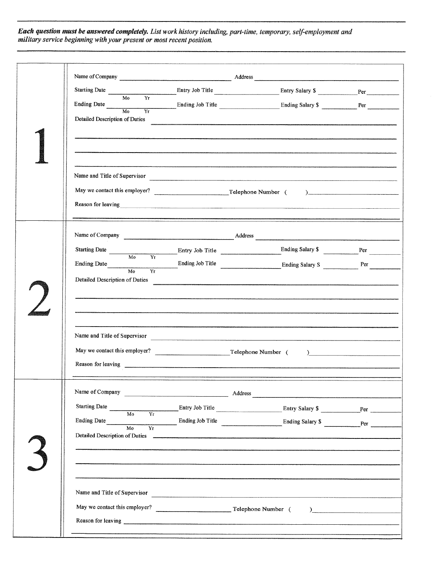Each question must be answered completely. List work history including, part-time, temporary, self-employment and<br>military service beginning with your present or most recent position.

| Starting Date $\frac{1}{\sqrt{1-\frac{1}{2}}\sqrt{1-\frac{1}{2}}\sqrt{1-\frac{1}{2}}}}$<br>M <sub>0</sub><br>Yr |                    | Entry Job Title <b>Entry Salary \$</b> Per     |  |
|-----------------------------------------------------------------------------------------------------------------|--------------------|------------------------------------------------|--|
| Ending Date Mo                                                                                                  |                    |                                                |  |
| Detailed Description of Duties                                                                                  |                    |                                                |  |
|                                                                                                                 |                    | Name and Title of Supervisor                   |  |
|                                                                                                                 | Reason for leaving |                                                |  |
|                                                                                                                 |                    |                                                |  |
| Starting Date Mo                                                                                                |                    |                                                |  |
|                                                                                                                 |                    |                                                |  |
| Detailed Description of Duties                                                                                  |                    |                                                |  |
|                                                                                                                 |                    |                                                |  |
|                                                                                                                 |                    |                                                |  |
|                                                                                                                 |                    |                                                |  |
|                                                                                                                 |                    |                                                |  |
|                                                                                                                 |                    | <u> 1980 - Jan Samuel Barbara, martin d</u>    |  |
| Starting Date<br>$\overline{Mo}$                                                                                |                    |                                                |  |
| <b>Ending Date</b><br>M <sub>o</sub><br>Yr<br>Detailed Description of Duties                                    |                    | Ending Job Title Ending Salary \$              |  |
|                                                                                                                 |                    |                                                |  |
|                                                                                                                 |                    |                                                |  |
|                                                                                                                 |                    |                                                |  |
|                                                                                                                 |                    | ) and the contract of $\overline{\phantom{a}}$ |  |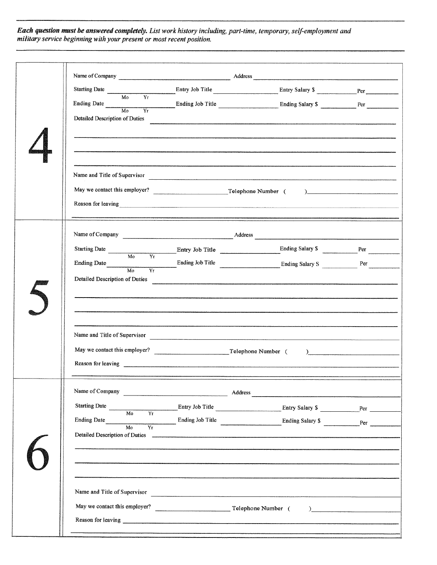**Each question must be answered completely.** List work history including, part-time, temporary, self-employment and<br>military service beginning with your present or most recent position.

| Name of Company <u>and Address</u> Address <b>Address</b> Address <b>Address Address Address Address Address Address Address Address Address Address Address Address Address Address Address Address Addre</b>                       |                                                      |                                                                                                                     |                                                                                                                                                                                                                                                                                                                                                                                             |
|--------------------------------------------------------------------------------------------------------------------------------------------------------------------------------------------------------------------------------------|------------------------------------------------------|---------------------------------------------------------------------------------------------------------------------|---------------------------------------------------------------------------------------------------------------------------------------------------------------------------------------------------------------------------------------------------------------------------------------------------------------------------------------------------------------------------------------------|
| Starting Date<br>M <sub>0</sub><br>Yr                                                                                                                                                                                                |                                                      |                                                                                                                     |                                                                                                                                                                                                                                                                                                                                                                                             |
| Ending Date Mo                                                                                                                                                                                                                       |                                                      | Ending Job Title $\frac{1}{Y_{I}}$ Ending Salary \$                                                                 |                                                                                                                                                                                                                                                                                                                                                                                             |
| Detailed Description of Duties                                                                                                                                                                                                       |                                                      |                                                                                                                     |                                                                                                                                                                                                                                                                                                                                                                                             |
|                                                                                                                                                                                                                                      |                                                      |                                                                                                                     |                                                                                                                                                                                                                                                                                                                                                                                             |
| Name and Title of Supervisor                                                                                                                                                                                                         |                                                      |                                                                                                                     |                                                                                                                                                                                                                                                                                                                                                                                             |
|                                                                                                                                                                                                                                      |                                                      |                                                                                                                     |                                                                                                                                                                                                                                                                                                                                                                                             |
| Reason for leaving <u>example and the contract of the contract of the contract of the contract of the contract of the contract of the contract of the contract of the contract of the contract of the contract of the contract o</u> |                                                      |                                                                                                                     |                                                                                                                                                                                                                                                                                                                                                                                             |
|                                                                                                                                                                                                                                      |                                                      |                                                                                                                     |                                                                                                                                                                                                                                                                                                                                                                                             |
| Starting Date Mo<br>$\overline{Yr}$                                                                                                                                                                                                  |                                                      | Entry Job Title <u>Communication</u> Ending Salary \$                                                               |                                                                                                                                                                                                                                                                                                                                                                                             |
|                                                                                                                                                                                                                                      |                                                      | Ending Date <b>Ending Salary S</b><br>Mo Yr <b>Ending Salary S</b><br>Ending Salary S Per                           |                                                                                                                                                                                                                                                                                                                                                                                             |
| Detailed Description of Duties                                                                                                                                                                                                       | <u> 1980 - Jan Amerikaanse kommunister (</u> † 1902) |                                                                                                                     |                                                                                                                                                                                                                                                                                                                                                                                             |
|                                                                                                                                                                                                                                      |                                                      |                                                                                                                     |                                                                                                                                                                                                                                                                                                                                                                                             |
| Name and Title of Supervisor                                                                                                                                                                                                         |                                                      |                                                                                                                     |                                                                                                                                                                                                                                                                                                                                                                                             |
|                                                                                                                                                                                                                                      |                                                      |                                                                                                                     | $\overline{a}$                                                                                                                                                                                                                                                                                                                                                                              |
|                                                                                                                                                                                                                                      |                                                      |                                                                                                                     |                                                                                                                                                                                                                                                                                                                                                                                             |
|                                                                                                                                                                                                                                      |                                                      | and the contract of the contract of the contract of the contract of the contract of the contract of the contract of |                                                                                                                                                                                                                                                                                                                                                                                             |
| Starting Date<br>$\frac{1}{100}$<br>$\overline{Y_T}$                                                                                                                                                                                 |                                                      |                                                                                                                     |                                                                                                                                                                                                                                                                                                                                                                                             |
| Ending Date<br>Mo<br>Υr.                                                                                                                                                                                                             |                                                      |                                                                                                                     |                                                                                                                                                                                                                                                                                                                                                                                             |
| Detailed Description of Duties                                                                                                                                                                                                       |                                                      |                                                                                                                     |                                                                                                                                                                                                                                                                                                                                                                                             |
|                                                                                                                                                                                                                                      |                                                      |                                                                                                                     |                                                                                                                                                                                                                                                                                                                                                                                             |
| Name and Title of Supervisor                                                                                                                                                                                                         |                                                      |                                                                                                                     |                                                                                                                                                                                                                                                                                                                                                                                             |
|                                                                                                                                                                                                                                      |                                                      |                                                                                                                     | $\begin{picture}(20,10) \put(0,0){\dashbox{0.5}(10,0){ }} \put(15,0){\circle{10}} \put(15,0){\circle{10}} \put(15,0){\circle{10}} \put(15,0){\circle{10}} \put(15,0){\circle{10}} \put(15,0){\circle{10}} \put(15,0){\circle{10}} \put(15,0){\circle{10}} \put(15,0){\circle{10}} \put(15,0){\circle{10}} \put(15,0){\circle{10}} \put(15,0){\circle{10}} \put(15,0){\circle{10}} \put(15,$ |
|                                                                                                                                                                                                                                      |                                                      |                                                                                                                     |                                                                                                                                                                                                                                                                                                                                                                                             |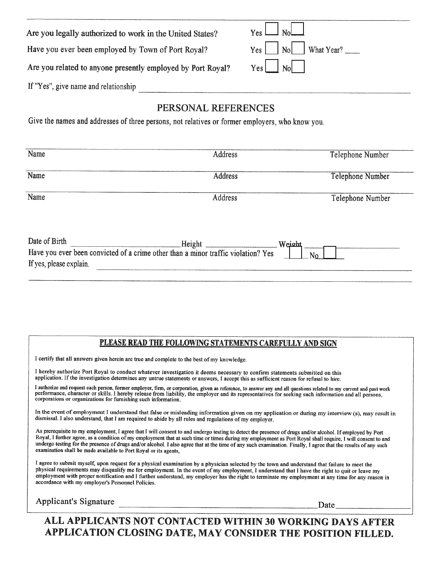| Are you legally authorized to work in the United States?    | $Y_{\rm es}$<br>$\vert_{\rm No}$                                                       |
|-------------------------------------------------------------|----------------------------------------------------------------------------------------|
| Have you ever been employed by Town of Port Royal?          | $Yes$ $\begin{bmatrix} N_0 \end{bmatrix}$ $\begin{bmatrix} What Year? \ \end{bmatrix}$ |
| Are you related to anyone presently employed by Port Royal? |                                                                                        |
| If "Yes", give name and relationship                        |                                                                                        |

## PERSONAL REFERENCES

Give the names and addresses of three persons, not relatives or former employers, who know you.

| Name                    | Address                                                                           | Telephone Number |
|-------------------------|-----------------------------------------------------------------------------------|------------------|
| Name                    | <b>Address</b>                                                                    | Telephone Number |
| Name                    | Address                                                                           | Telephone Number |
| Date of Birth           | Height _                                                                          | Weicht           |
| If yes, please explain. | Have you ever been convicted of a crime other than a minor traffic violation? Yes | N٥               |

#### PLEASE READ THE FOLLOWING STATEMENTS CAREFULLY AND SIGN

I certify that all answers given herein are true and complete to the best of my knowledge.

I hereby authorize Port Royal to conduct whatever investigation it deems necessary to confirm statements submitted on this application. If the investigation determines any untrue statements or answers, I accept this as sufficient reason for refusal to hire.

I authorize and request each person, former employer, firm, or corporation, given as reference, to answer any and all questions related to my current and past work performance, character or skills. I hereby release from li corporations or organizations for furnishing such information.

In the event of employment I understand that false or misleading information given on my application or during my interview (s), may result in dismissal. I also understand, that I am required to abide by all rules and regulations of my employer.

As prerequisite to my employment, I agree that I will consent to and undergo testing to detect the presence of drugs and/or alcohol. If employed by Port Royal, I further agree, as a condition of my employment that at such time or times during my employment as Port Royal shall require, I will consent to and undergo testing for the presence of drugs and/or alcohol. I also agree that at the time of any such examination. Finally, I agree that the results of any such examination shall be made available to Port Royal or its agents,

I agree to submit myself, upon request for a physical examination by a physician selected by the town and understand that failure to meet the physical requirements may disqualify me for employment. In the event of my employment, I understand that I have the right to quit or leave my employment with proper notification and I further understand, my employer has the right to terminate my employment at any time for any reason in accordance with my employer's Personnel Policies.

| <b>Applicant's Signature</b> |  |
|------------------------------|--|
|------------------------------|--|

Date

ALL APPLICANTS NOT CONTACTED WITHIN 30 WORKING DAYS AFTER APPLICATION CLOSING DATE, MAY CONSIDER THE POSITION FILLED.